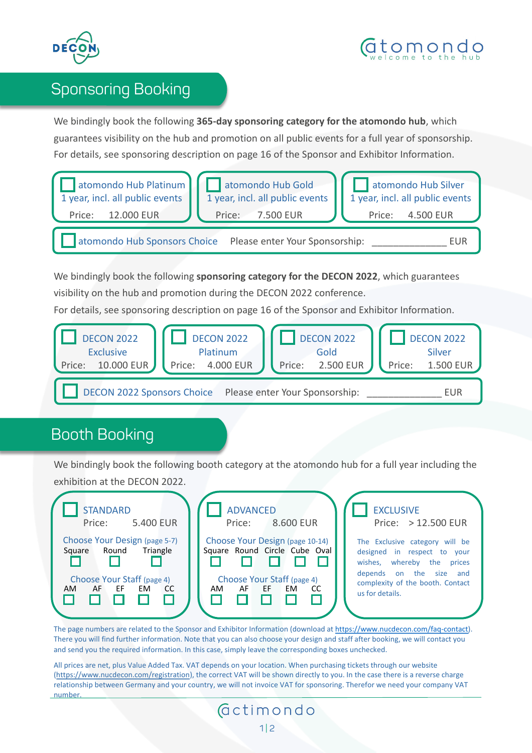



## Sponsoring Booking

We bindingly book the following **365-day sponsoring category for the atomondo hub**, which guarantees visibility on the hub and promotion on all public events for a full year of sponsorship. For details, see sponsoring description on page 16 of the Sponsor and Exhibitor Information.



We bindingly book the following **sponsoring category for the DECON 2022**, which guarantees visibility on the hub and promotion during the DECON 2022 conference.

For details, see sponsoring description on page 16 of the Sponsor and Exhibitor Information.



## Booth Booking

We bindingly book the following booth category at the atomondo hub for a full year including the exhibition at the DECON 2022.

| <b>STANDARD</b><br>5.400 EUR<br>Price:                                                                                               | <b>ADVANCED</b><br>Price: 8.600 EUR                                                                                                    | <b>EXCLUSIVE</b><br>Price: > 12.500 EUR                                                                                                                                          |
|--------------------------------------------------------------------------------------------------------------------------------------|----------------------------------------------------------------------------------------------------------------------------------------|----------------------------------------------------------------------------------------------------------------------------------------------------------------------------------|
| Choose Your Design (page 5-7)<br>Triangle<br>Round<br>Square<br>Choose Your Staff (page 4)<br>- EF<br><b>EM</b><br>AF<br>- CC<br>AM. | Choose Your Design (page 10-14)<br>Square Round Circle Cube Oval<br>Choose Your Staff (page 4)<br>- EF<br><b>EM</b><br>AF<br>CC<br>AM. | The Exclusive category will be<br>designed in respect to your<br>wishes, whereby the<br>prices<br>depends on the size and<br>complexity of the booth. Contact<br>us for details. |

The page numbers are related to the Sponsor and Exhibitor Information (download at [https://www.nucdecon.com/faq-contact\)](https://www.nucdecon.com/faq-contact). There you will find further information. Note that you can also choose your design and staff after booking, we will contact you and send you the required information. In this case, simply leave the corresponding boxes unchecked.

All prices are net, plus Value Added Tax. VAT depends on your location. When purchasing tickets through our website (<https://www.nucdecon.com/registration>), the correct VAT will be shown directly to you. In the case there is a reverse charge relationship between Germany and your country, we will not invoice VAT for sponsoring. Therefor we need your company VAT number.